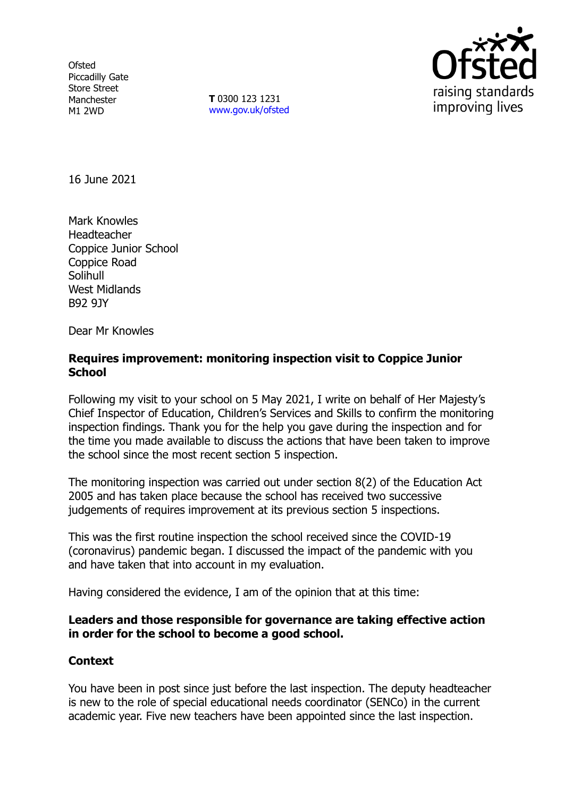**Ofsted** Piccadilly Gate Store Street Manchester M1 2WD

**T** 0300 123 1231 [www.gov.uk/ofsted](http://www.gov.uk/ofsted)



16 June 2021

Mark Knowles Headteacher Coppice Junior School Coppice Road Solihull West Midlands B92 9JY

Dear Mr Knowles

### **Requires improvement: monitoring inspection visit to Coppice Junior School**

Following my visit to your school on 5 May 2021, I write on behalf of Her Majesty's Chief Inspector of Education, Children's Services and Skills to confirm the monitoring inspection findings. Thank you for the help you gave during the inspection and for the time you made available to discuss the actions that have been taken to improve the school since the most recent section 5 inspection.

The monitoring inspection was carried out under section 8(2) of the Education Act 2005 and has taken place because the school has received two successive judgements of requires improvement at its previous section 5 inspections.

This was the first routine inspection the school received since the COVID-19 (coronavirus) pandemic began. I discussed the impact of the pandemic with you and have taken that into account in my evaluation.

Having considered the evidence, I am of the opinion that at this time:

### **Leaders and those responsible for governance are taking effective action in order for the school to become a good school.**

# **Context**

You have been in post since just before the last inspection. The deputy headteacher is new to the role of special educational needs coordinator (SENCo) in the current academic year. Five new teachers have been appointed since the last inspection.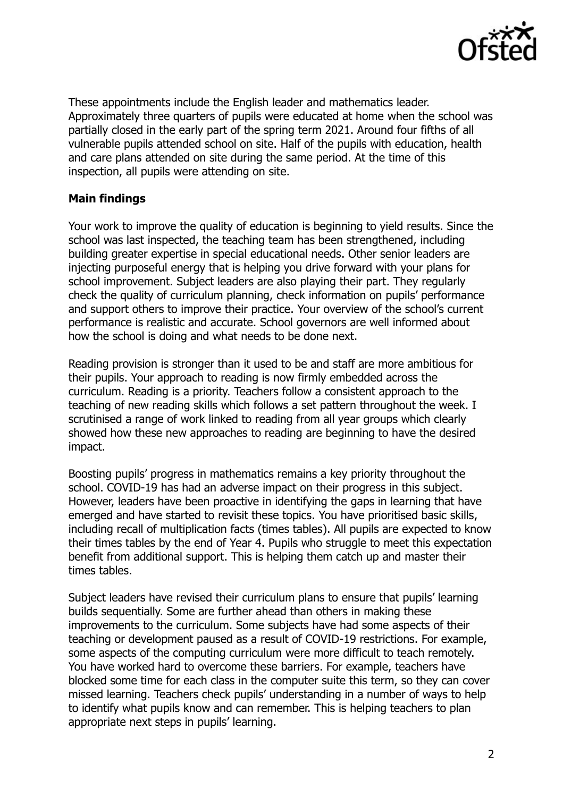

These appointments include the English leader and mathematics leader. Approximately three quarters of pupils were educated at home when the school was partially closed in the early part of the spring term 2021. Around four fifths of all vulnerable pupils attended school on site. Half of the pupils with education, health and care plans attended on site during the same period. At the time of this inspection, all pupils were attending on site.

## **Main findings**

Your work to improve the quality of education is beginning to yield results. Since the school was last inspected, the teaching team has been strengthened, including building greater expertise in special educational needs. Other senior leaders are injecting purposeful energy that is helping you drive forward with your plans for school improvement. Subject leaders are also playing their part. They regularly check the quality of curriculum planning, check information on pupils' performance and support others to improve their practice. Your overview of the school's current performance is realistic and accurate. School governors are well informed about how the school is doing and what needs to be done next.

Reading provision is stronger than it used to be and staff are more ambitious for their pupils. Your approach to reading is now firmly embedded across the curriculum. Reading is a priority. Teachers follow a consistent approach to the teaching of new reading skills which follows a set pattern throughout the week. I scrutinised a range of work linked to reading from all year groups which clearly showed how these new approaches to reading are beginning to have the desired impact.

Boosting pupils' progress in mathematics remains a key priority throughout the school. COVID-19 has had an adverse impact on their progress in this subject. However, leaders have been proactive in identifying the gaps in learning that have emerged and have started to revisit these topics. You have prioritised basic skills, including recall of multiplication facts (times tables). All pupils are expected to know their times tables by the end of Year 4. Pupils who struggle to meet this expectation benefit from additional support. This is helping them catch up and master their times tables.

Subject leaders have revised their curriculum plans to ensure that pupils' learning builds sequentially. Some are further ahead than others in making these improvements to the curriculum. Some subjects have had some aspects of their teaching or development paused as a result of COVID-19 restrictions. For example, some aspects of the computing curriculum were more difficult to teach remotely. You have worked hard to overcome these barriers. For example, teachers have blocked some time for each class in the computer suite this term, so they can cover missed learning. Teachers check pupils' understanding in a number of ways to help to identify what pupils know and can remember. This is helping teachers to plan appropriate next steps in pupils' learning.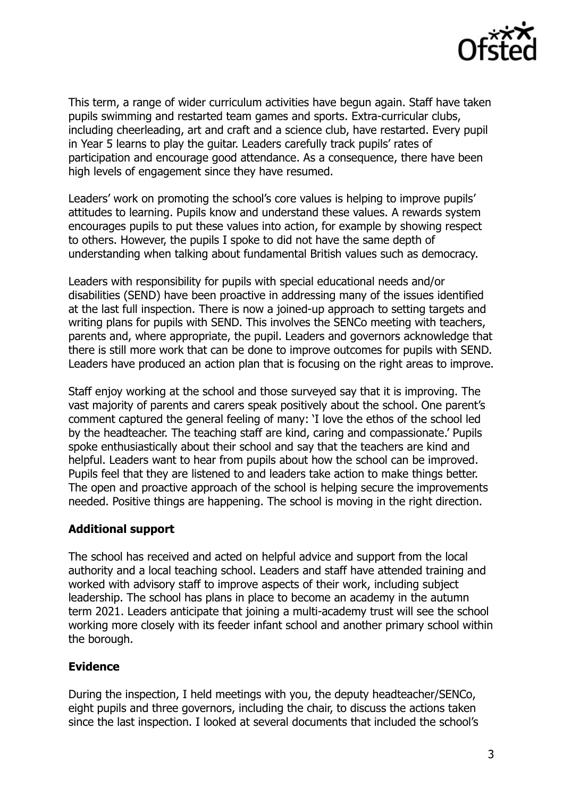

This term, a range of wider curriculum activities have begun again. Staff have taken pupils swimming and restarted team games and sports. Extra-curricular clubs, including cheerleading, art and craft and a science club, have restarted. Every pupil in Year 5 learns to play the guitar. Leaders carefully track pupils' rates of participation and encourage good attendance. As a consequence, there have been high levels of engagement since they have resumed.

Leaders' work on promoting the school's core values is helping to improve pupils' attitudes to learning. Pupils know and understand these values. A rewards system encourages pupils to put these values into action, for example by showing respect to others. However, the pupils I spoke to did not have the same depth of understanding when talking about fundamental British values such as democracy.

Leaders with responsibility for pupils with special educational needs and/or disabilities (SEND) have been proactive in addressing many of the issues identified at the last full inspection. There is now a joined-up approach to setting targets and writing plans for pupils with SEND. This involves the SENCo meeting with teachers, parents and, where appropriate, the pupil. Leaders and governors acknowledge that there is still more work that can be done to improve outcomes for pupils with SEND. Leaders have produced an action plan that is focusing on the right areas to improve.

Staff enjoy working at the school and those surveyed say that it is improving. The vast majority of parents and carers speak positively about the school. One parent's comment captured the general feeling of many: 'I love the ethos of the school led by the headteacher. The teaching staff are kind, caring and compassionate.' Pupils spoke enthusiastically about their school and say that the teachers are kind and helpful. Leaders want to hear from pupils about how the school can be improved. Pupils feel that they are listened to and leaders take action to make things better. The open and proactive approach of the school is helping secure the improvements needed. Positive things are happening. The school is moving in the right direction.

### **Additional support**

The school has received and acted on helpful advice and support from the local authority and a local teaching school. Leaders and staff have attended training and worked with advisory staff to improve aspects of their work, including subject leadership. The school has plans in place to become an academy in the autumn term 2021. Leaders anticipate that joining a multi-academy trust will see the school working more closely with its feeder infant school and another primary school within the borough.

# **Evidence**

During the inspection, I held meetings with you, the deputy headteacher/SENCo, eight pupils and three governors, including the chair, to discuss the actions taken since the last inspection. I looked at several documents that included the school's